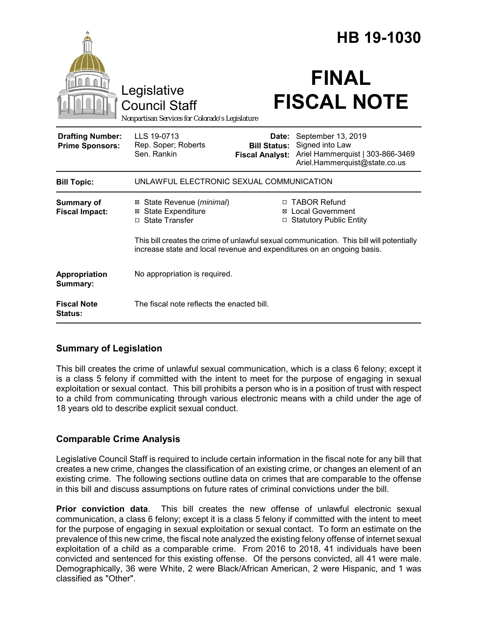|                                                   |                                                                                                                                                                    |                                                        | HB 19-1030                                                                                                 |
|---------------------------------------------------|--------------------------------------------------------------------------------------------------------------------------------------------------------------------|--------------------------------------------------------|------------------------------------------------------------------------------------------------------------|
|                                                   | Legislative<br><b>Council Staff</b><br>Nonpartisan Services for Colorado's Legislature                                                                             |                                                        | <b>FINAL</b><br><b>FISCAL NOTE</b>                                                                         |
| <b>Drafting Number:</b><br><b>Prime Sponsors:</b> | LLS 19-0713<br>Rep. Soper; Roberts<br>Sen. Rankin                                                                                                                  | Date:<br><b>Bill Status:</b><br><b>Fiscal Analyst:</b> | September 13, 2019<br>Signed into Law<br>Ariel Hammerquist   303-866-3469<br>Ariel.Hammerquist@state.co.us |
| <b>Bill Topic:</b>                                | UNLAWFUL ELECTRONIC SEXUAL COMMUNICATION                                                                                                                           |                                                        |                                                                                                            |
| <b>Summary of</b><br><b>Fiscal Impact:</b>        | ⊠ State Revenue ( <i>minimal</i> )<br><b>⊠</b> State Expenditure<br>□ State Transfer                                                                               |                                                        | □ TABOR Refund<br>⊠ Local Government<br>□ Statutory Public Entity                                          |
|                                                   | This bill creates the crime of unlawful sexual communication. This bill will potentially<br>increase state and local revenue and expenditures on an ongoing basis. |                                                        |                                                                                                            |
| Appropriation<br>Summary:                         | No appropriation is required.                                                                                                                                      |                                                        |                                                                                                            |
| <b>Fiscal Note</b><br>Status:                     | The fiscal note reflects the enacted bill.                                                                                                                         |                                                        |                                                                                                            |

# **Summary of Legislation**

This bill creates the crime of unlawful sexual communication, which is a class 6 felony; except it is a class 5 felony if committed with the intent to meet for the purpose of engaging in sexual exploitation or sexual contact. This bill prohibits a person who is in a position of trust with respect to a child from communicating through various electronic means with a child under the age of 18 years old to describe explicit sexual conduct.

# **Comparable Crime Analysis**

Legislative Council Staff is required to include certain information in the fiscal note for any bill that creates a new crime, changes the classification of an existing crime, or changes an element of an existing crime. The following sections outline data on crimes that are comparable to the offense in this bill and discuss assumptions on future rates of criminal convictions under the bill.

**Prior conviction data**. This bill creates the new offense of unlawful electronic sexual communication, a class 6 felony; except it is a class 5 felony if committed with the intent to meet for the purpose of engaging in sexual exploitation or sexual contact. To form an estimate on the prevalence of this new crime, the fiscal note analyzed the existing felony offense of internet sexual exploitation of a child as a comparable crime. From 2016 to 2018, 41 individuals have been convicted and sentenced for this existing offense. Of the persons convicted, all 41 were male. Demographically, 36 were White, 2 were Black/African American, 2 were Hispanic, and 1 was classified as "Other".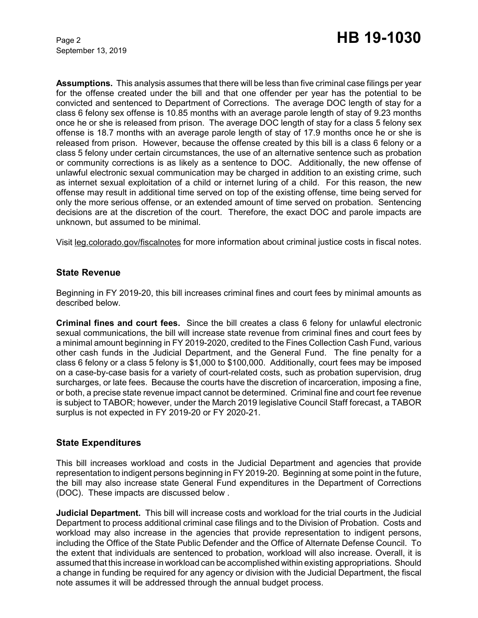September 13, 2019

**Assumptions.** This analysis assumes that there will be less than five criminal case filings per year for the offense created under the bill and that one offender per year has the potential to be convicted and sentenced to Department of Corrections. The average DOC length of stay for a class 6 felony sex offense is 10.85 months with an average parole length of stay of 9.23 months once he or she is released from prison. The average DOC length of stay for a class 5 felony sex offense is 18.7 months with an average parole length of stay of 17.9 months once he or she is released from prison. However, because the offense created by this bill is a class 6 felony or a class 5 felony under certain circumstances, the use of an alternative sentence such as probation or community corrections is as likely as a sentence to DOC. Additionally, the new offense of unlawful electronic sexual communication may be charged in addition to an existing crime, such as internet sexual exploitation of a child or internet luring of a child. For this reason, the new offense may result in additional time served on top of the existing offense, time being served for only the more serious offense, or an extended amount of time served on probation. Sentencing decisions are at the discretion of the court. Therefore, the exact DOC and parole impacts are unknown, but assumed to be minimal.

Visit leg.colorado.gov/fiscalnotes for more information about criminal justice costs in fiscal notes.

## **State Revenue**

Beginning in FY 2019-20, this bill increases criminal fines and court fees by minimal amounts as described below.

**Criminal fines and court fees.** Since the bill creates a class 6 felony for unlawful electronic sexual communications, the bill will increase state revenue from criminal fines and court fees by a minimal amount beginning in FY 2019-2020, credited to the Fines Collection Cash Fund, various other cash funds in the Judicial Department, and the General Fund. The fine penalty for a class 6 felony or a class 5 felony is \$1,000 to \$100,000. Additionally, court fees may be imposed on a case-by-case basis for a variety of court-related costs, such as probation supervision, drug surcharges, or late fees. Because the courts have the discretion of incarceration, imposing a fine, or both, a precise state revenue impact cannot be determined. Criminal fine and court fee revenue is subject to TABOR; however, under the March 2019 legislative Council Staff forecast, a TABOR surplus is not expected in FY 2019-20 or FY 2020-21.

## **State Expenditures**

This bill increases workload and costs in the Judicial Department and agencies that provide representation to indigent persons beginning in FY 2019-20. Beginning at some point in the future, the bill may also increase state General Fund expenditures in the Department of Corrections (DOC). These impacts are discussed below .

**Judicial Department.** This bill will increase costs and workload for the trial courts in the Judicial Department to process additional criminal case filings and to the Division of Probation. Costs and workload may also increase in the agencies that provide representation to indigent persons, including the Office of the State Public Defender and the Office of Alternate Defense Council. To the extent that individuals are sentenced to probation, workload will also increase. Overall, it is assumed that this increase in workload can be accomplished within existing appropriations. Should a change in funding be required for any agency or division with the Judicial Department, the fiscal note assumes it will be addressed through the annual budget process.